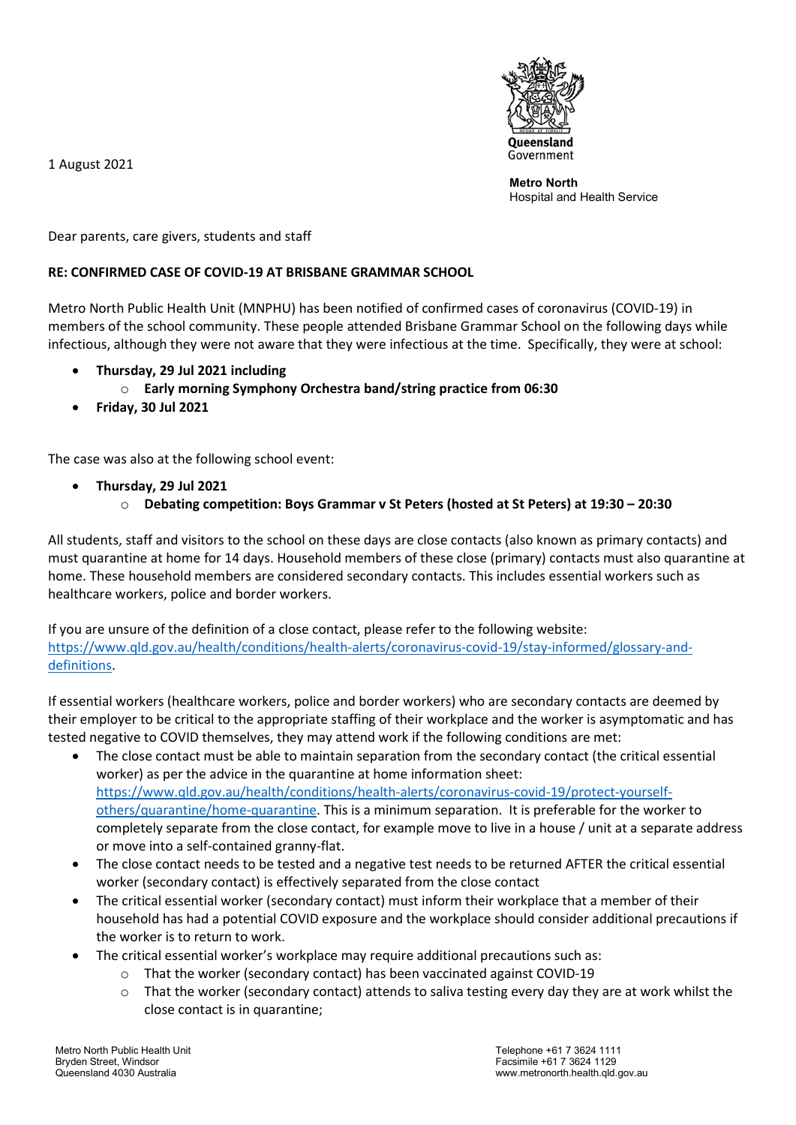1 August 2021



Metro North Hospital and Health Service

Dear parents, care givers, students and staff

## RE: CONFIRMED CASE OF COVID-19 AT BRISBANE GRAMMAR SCHOOL

Metro North Public Health Unit (MNPHU) has been notified of confirmed cases of coronavirus (COVID-19) in members of the school community. These people attended Brisbane Grammar School on the following days while infectious, although they were not aware that they were infectious at the time. Specifically, they were at school:

- Thursday, 29 Jul 2021 including
	- o Early morning Symphony Orchestra band/string practice from 06:30
- Friday, 30 Jul 2021

The case was also at the following school event:

- Thursday, 29 Jul 2021
	- o Debating competition: Boys Grammar v St Peters (hosted at St Peters) at 19:30 20:30

All students, staff and visitors to the school on these days are close contacts (also known as primary contacts) and must quarantine at home for 14 days. Household members of these close (primary) contacts must also quarantine at home. These household members are considered secondary contacts. This includes essential workers such as healthcare workers, police and border workers.

If you are unsure of the definition of a close contact, please refer to the following website: https://www.qld.gov.au/health/conditions/health-alerts/coronavirus-covid-19/stay-informed/glossary-anddefinitions.

If essential workers (healthcare workers, police and border workers) who are secondary contacts are deemed by their employer to be critical to the appropriate staffing of their workplace and the worker is asymptomatic and has tested negative to COVID themselves, they may attend work if the following conditions are met:

- The close contact must be able to maintain separation from the secondary contact (the critical essential worker) as per the advice in the quarantine at home information sheet: https://www.qld.gov.au/health/conditions/health-alerts/coronavirus-covid-19/protect-yourselfothers/quarantine/home-quarantine. This is a minimum separation. It is preferable for the worker to completely separate from the close contact, for example move to live in a house / unit at a separate address or move into a self-contained granny-flat.
- The close contact needs to be tested and a negative test needs to be returned AFTER the critical essential worker (secondary contact) is effectively separated from the close contact
- The critical essential worker (secondary contact) must inform their workplace that a member of their household has had a potential COVID exposure and the workplace should consider additional precautions if the worker is to return to work.
- The critical essential worker's workplace may require additional precautions such as:
	- That the worker (secondary contact) has been vaccinated against COVID-19
	- $\circ$  That the worker (secondary contact) attends to saliva testing every day they are at work whilst the close contact is in quarantine;